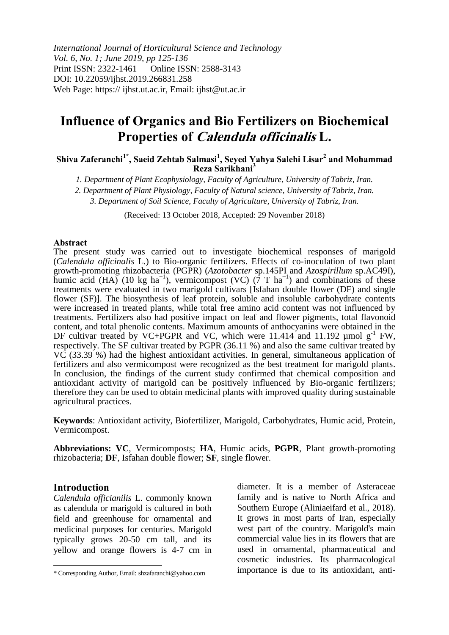*International Journal of Horticultural Science and Technology Vol. 6, No. 1; June 2019, pp 125-136* Print ISSN: 2322-1461 Online ISSN: 2588-3143 DOI: 10.22059/ijhst.2019.266831.258 Web Page: https:// ijhst.ut.ac.ir, Email: ijhst@ut.ac.ir

# **Influence of Organics and Bio Fertilizers on Biochemical Properties of Calendula officinalis L.**

**Shiva Zaferanchi1\* , Saeid Zehtab Salmasi<sup>1</sup> , Seyed Yahya Salehi Lisar<sup>2</sup> and Mohammad Reza Sarikhani<sup>3</sup>**

*1. Department of Plant Ecophysiology, Faculty of Agriculture, University of Tabriz, Iran.*

*2. Department of Plant Physiology, Faculty of Natural science, University of Tabriz, Iran.*

*3. Department of Soil Science, Faculty of Agriculture, University of Tabriz, Iran.*

(Received: 13 October 2018, Accepted: 29 November 2018)

#### **Abstract**

The present study was carried out to investigate biochemical responses of marigold (*Calendula officinalis* L.) to Bio-organic fertilizers. Effects of co-inoculation of two plant growth-promoting rhizobacteria (PGPR) (*Azotobacter* sp.145PI and *Azospirillum* sp.AC49I), humic acid (HA) (10 kg ha<sup>-1</sup>), vermicompost (VC) (7 T ha<sup>-1</sup>) and combinations of these treatments were evaluated in two marigold cultivars [Isfahan double flower (DF) and single flower (SF)]. The biosynthesis of leaf protein, soluble and insoluble carbohydrate contents were increased in treated plants, while total free amino acid content was not influenced by treatments. Fertilizers also had positive impact on leaf and flower pigments, total flavonoid content, and total phenolic contents. Maximum amounts of anthocyanins were obtained in the DF cultivar treated by VC+PGPR and VC, which were 11.414 and 11.192  $\mu$ mol  $g^{-1}$  FW, respectively. The SF cultivar treated by PGPR (36.11 %) and also the same cultivar treated by VC (33.39 %) had the highest antioxidant activities. In general, simultaneous application of fertilizers and also vermicompost were recognized as the best treatment for marigold plants. In conclusion, the findings of the current study confirmed that chemical composition and antioxidant activity of marigold can be positively influenced by Bio-organic fertilizers; therefore they can be used to obtain medicinal plants with improved quality during sustainable agricultural practices.

**Keywords**: Antioxidant activity, Biofertilizer, Marigold, Carbohydrates, Humic acid, Protein, Vermicompost.

**Abbreviations: VC**, Vermicomposts; **HA**, Humic acids, **PGPR**, Plant growth-promoting rhizobacteria; **DF**, Isfahan double flower; **SF**, single flower.

#### **Introduction**

 $\overline{a}$ 

*Calendula officianilis* L. commonly known as calendula or marigold is cultured in both field and greenhouse for ornamental and medicinal purposes for centuries. Marigold typically grows 20-50 cm tall, and its yellow and orange flowers is 4-7 cm in diameter. It is a member of Asteraceae family and is native to North Africa and Southern Europe (Aliniaeifard et al., 2018). It grows in most parts of Iran, especially west part of the country. Marigold's main commercial value lies in its flowers that are used in ornamental, pharmaceutical and cosmetic industries. Its pharmacological importance is due to its antioxidant, anti-

<sup>\*</sup> Corresponding Author, Email: shzafaranchi@yahoo.com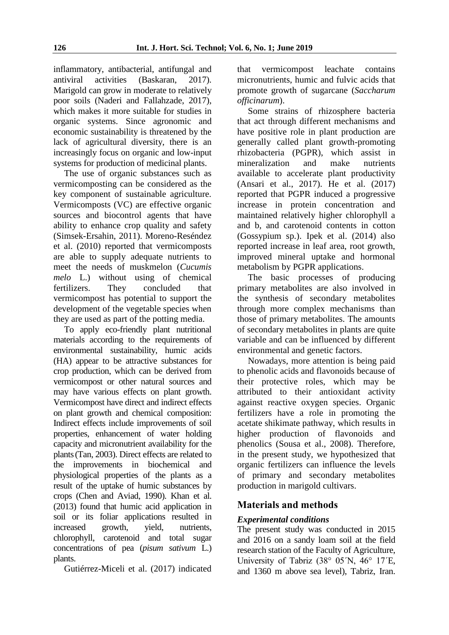inflammatory, antibacterial, antifungal and<br>antiviral activities (Baskaran, 2017).  $(Baskaran, 2017)$ . Marigold can grow in moderate to relatively poor soils (Naderi and Fallahzade, 2017), which makes it more suitable for studies in organic systems. Since agronomic and economic sustainability is threatened by the lack of agricultural diversity, there is an increasingly focus on organic and low-input systems for production of medicinal plants.

The use of organic substances such as vermicomposting can be considered as the key component of sustainable agriculture. Vermicomposts (VC) are effective organic sources and biocontrol agents that have ability to enhance crop quality and safety (Simsek-Ersahin, 2011). Moreno-Reséndez et al. (2010) reported that vermicomposts are able to supply adequate nutrients to meet the needs of muskmelon (*Cucumis melo* L.) without using of chemical fertilizers. They concluded that vermicompost has potential to support the development of the vegetable species when they are used as part of the potting media.

To apply eco-friendly plant nutritional materials according to the requirements of environmental sustainability, humic acids (HA) appear to be attractive substances for crop production, which can be derived from vermicompost or other natural sources and may have various effects on plant growth. Vermicompost have direct and indirect effects on plant growth and chemical composition: Indirect effects include improvements of soil properties, enhancement of water holding capacity and micronutrient availability for the plants(Tan, 2003). Direct effects are related to the improvements in biochemical and physiological properties of the plants as a result of the uptake of humic substances by crops (Chen and Aviad, 1990). Khan et al. (2013) found that humic acid application in soil or its foliar applications resulted in increased growth, yield, nutrients, chlorophyll, carotenoid and total sugar concentrations of pea (*pisum sativum* L.) plants.

Gutiérrez-Miceli et al. (2017) indicated

that vermicompost leachate contains micronutrients, humic and fulvic acids that promote growth of sugarcane (*Saccharum officinarum*).

Some strains of rhizosphere bacteria that act through different mechanisms and have positive role in plant production are generally called plant growth-promoting rhizobacteria (PGPR), which assist in mineralization and make nutrients available to accelerate plant productivity (Ansari et al., 2017). He et al. (2017) reported that PGPR induced a progressive increase in protein concentration and maintained relatively higher chlorophyll a and b, and carotenoid contents in cotton (Gossypium sp.). Ipek et al. (2014) also reported increase in leaf area, root growth, improved mineral uptake and hormonal metabolism by PGPR applications.

The basic processes of producing primary metabolites are also involved in the synthesis of secondary metabolites through more complex mechanisms than those of primary metabolites. The amounts of secondary metabolites in plants are quite variable and can be influenced by different environmental and genetic factors.

Nowadays, more attention is being paid to phenolic acids and flavonoids because of their protective roles, which may be attributed to their antioxidant activity against reactive oxygen species. Organic fertilizers have a role in promoting the acetate shikimate pathway, which results in higher production of flavonoids and phenolics (Sousa et al., 2008). Therefore, in the present study, we hypothesized that organic fertilizers can influence the levels of primary and secondary metabolites production in marigold cultivars.

# **Materials and methods**

## *Experimental conditions*

The present study was conducted in 2015 and 2016 on a sandy loam soil at the field research station of the Faculty of Agriculture, University of Tabriz (38° 05ʹN, 46° 17ʹE, and 1360 m above sea level), Tabriz, Iran.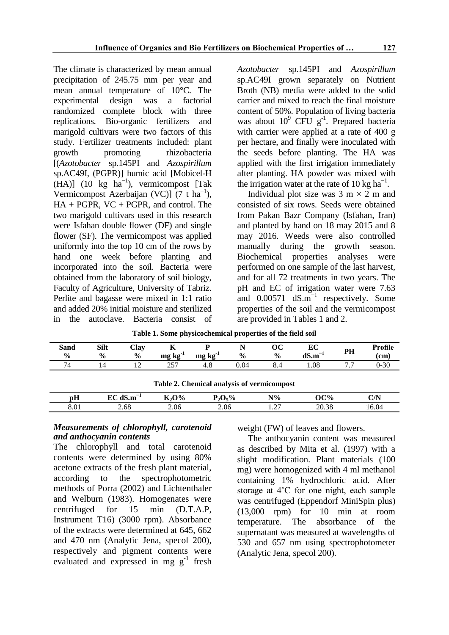The climate is characterized by mean annual precipitation of 245.75 mm per year and mean annual temperature of 10°C. The experimental design was a factorial randomized complete block with three replications. Bio-organic fertilizers and marigold cultivars were two factors of this study. Fertilizer treatments included: plant growth promoting rhizobacteria [(*Azotobacter* sp.145PI and *Azospirillum* sp.AC49I, (PGPR)] humic acid [Mobicel-H  $(HA)$ ] (10 kg ha<sup>-1</sup>), vermicompost [Tak Vermicompost Azerbaijan (VC)] (7 t ha<sup>-1</sup>), HA + PGPR, VC + PGPR, and control. The two marigold cultivars used in this research were Isfahan double flower (DF) and single flower (SF). The vermicompost was applied uniformly into the top 10 cm of the rows by hand one week before planting and incorporated into the soil. Bacteria were obtained from the laboratory of soil biology, Faculty of Agriculture, University of Tabriz. Perlite and bagasse were mixed in 1:1 ratio and added 20% initial moisture and sterilized in the autoclave. Bacteria consist of

*Azotobacter* sp.145PI and *Azospirillum* sp.AC49I grown separately on Nutrient Broth (NB) media were added to the solid carrier and mixed to reach the final moisture content of 50%. Population of living bacteria was about  $10^9$  CFU  $g^{-1}$ . Prepared bacteria with carrier were applied at a rate of 400 g per hectare, and finally were inoculated with the seeds before planting. The HA was applied with the first irrigation immediately after planting. HA powder was mixed with the irrigation water at the rate of 10 kg  $ha^{-1}$ .

Individual plot size was  $3 \text{ m} \times 2 \text{ m}$  and consisted of six rows. Seeds were obtained from Pakan Bazr Company (Isfahan, Iran) and planted by hand on 18 may 2015 and 8 may 2016. Weeds were also controlled manually during the growth season. Biochemical properties analyses were performed on one sample of the last harvest, and for all 72 treatments in two years. The pH and EC of irrigation water were 7.63 and  $0.00571$  dS.m<sup>-1</sup> respectively. Some properties of the soil and the vermicompost are provided in Tables 1 and 2.

| Sand<br>$\frac{0}{0}$                      | Silt<br>$\frac{0}{0}$ | Clay<br>$\frac{6}{9}$    | 77<br>$mg\,kg'$ | $k\mathbf{g}$<br>mg | $\frac{0}{0}$ | ОC<br>$\frac{6}{6}$ | ЕC<br>$dS.m^{-1}$ | PН | Profile<br>(c <sub>m</sub> ) |
|--------------------------------------------|-----------------------|--------------------------|-----------------|---------------------|---------------|---------------------|-------------------|----|------------------------------|
| 74                                         |                       | $\overline{\phantom{0}}$ | 257             | 4.8                 | 0.04          | 8.4                 | .08               |    | $0 - 30$                     |
| Table 2. Chemical analysis of vermicompost |                       |                          |                 |                     |               |                     |                   |    |                              |

**Table 1. Some physicochemical properties of the field soil**

|                             |                        |                                      |                          | -              |       |       |
|-----------------------------|------------------------|--------------------------------------|--------------------------|----------------|-------|-------|
| pH                          | ЛC<br>$-1$<br>-~<br>.m | $\mathbf{O}$ %<br>$-$<br>в. л.<br>л. | $\epsilon\%$<br>-л.<br>∸ | $N\%$          | OC%   | C/N   |
| $\Omega$ $\Omega$ 1<br>0.VI | 2.68                   | 2.06                                 | 2.06                     | $\sim$<br>1.41 | 20.38 | 16.04 |

#### *Measurements of chlorophyll, carotenoid and anthocyanin contents*

The chlorophyll and total carotenoid contents were determined by using 80% acetone extracts of the fresh plant material, according to the spectrophotometric methods of Porra (2002) and Lichtenthaler and Welburn (1983). Homogenates were centrifuged for 15 min (D.T.A.P, Instrument T16) (3000 rpm). Absorbance of the extracts were determined at 645, 662 and 470 nm (Analytic Jena, specol 200), respectively and pigment contents were evaluated and expressed in mg  $g^{-1}$  fresh weight (FW) of leaves and flowers.

The anthocyanin content was measured as described by Mita et al. (1997) with a slight modification. Plant materials (100 mg) were homogenized with 4 ml methanol containing 1% hydrochloric acid. After storage at 4˚C for one night, each sample was centrifuged (Eppendorf MiniSpin plus) (13,000 rpm) for 10 min at room temperature. The absorbance of the supernatant was measured at wavelengths of 530 and 657 nm using spectrophotometer (Analytic Jena, specol 200).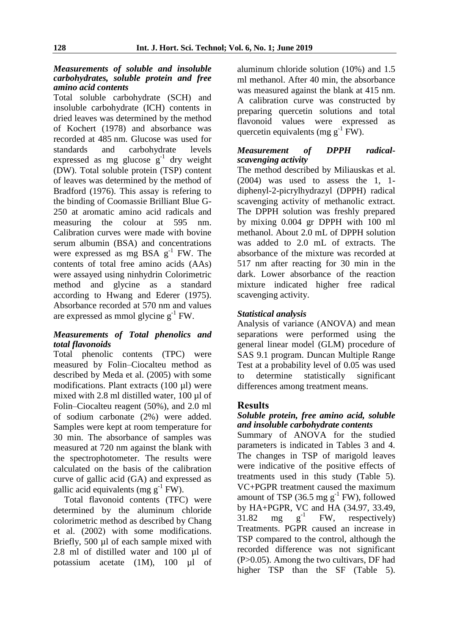#### *Measurements of soluble and insoluble carbohydrates, soluble protein and free amino acid contents*

Total soluble carbohydrate (SCH) and insoluble carbohydrate (ICH) contents in dried leaves was determined by the method of Kochert (1978) and absorbance was recorded at 485 nm. Glucose was used for standards and carbohydrate levels expressed as mg glucose  $g^{-1}$  dry weight (DW). Total soluble protein (TSP) content of leaves was determined by the method of Bradford (1976). This assay is refering to the binding of Coomassie Brilliant Blue G-250 at aromatic amino acid radicals and measuring the colour at 595 nm. Calibration curves were made with bovine serum albumin (BSA) and concentrations were expressed as mg BSA  $g^{-1}$  FW. The contents of total free amino acids (AAs) were assayed using ninhydrin Colorimetric method and glycine as a standard according to Hwang and Ederer (1975). Absorbance recorded at 570 nm and values are expressed as mmol glycine  $g^{-1}$  FW.

#### *Measurements of Total phenolics and total flavonoids*

Total phenolic contents (TPC) were measured by Folin–Ciocalteu method as described by Meda et al. (2005) with some modifications. Plant extracts (100 µl) were mixed with 2.8 ml distilled water, 100 µl of Folin–Ciocalteu reagent (50%), and 2.0 ml of sodium carbonate (2%) were added. Samples were kept at room temperature for 30 min. The absorbance of samples was measured at 720 nm against the blank with the spectrophotometer. The results were calculated on the basis of the calibration curve of gallic acid (GA) and expressed as gallic acid equivalents (mg  $g^{-1}$  FW).

Total flavonoid contents (TFC) were determined by the aluminum chloride colorimetric method as described by Chang et al.  $(2002)$  with some modifications. Briefly, 500 µl of each sample mixed with 2.8 ml of distilled water and 100 µl of potassium acetate (1M), 100 µl of aluminum chloride solution (10%) and 1.5 ml methanol. After 40 min, the absorbance was measured against the blank at 415 nm. A calibration curve was constructed by preparing quercetin solutions and total flavonoid values were expressed as quercetin equivalents (mg  $g^{-1}$  FW).

#### *Measurement of DPPH radicalscavenging activity*

The method described by Miliauskas et al. (2004) was used to assess the 1, 1 diphenyl-2-picrylhydrazyl (DPPH) radical scavenging activity of methanolic extract. The DPPH solution was freshly prepared by mixing 0.004 gr DPPH with 100 ml methanol. About 2.0 mL of DPPH solution was added to 2.0 mL of extracts. The absorbance of the mixture was recorded at 517 nm after reacting for 30 min in the dark. Lower absorbance of the reaction mixture indicated higher free radical scavenging activity.

### *Statistical analysis*

Analysis of variance (ANOVA) and mean separations were performed using the general linear model (GLM) procedure of SAS 9.1 program. Duncan Multiple Range Test at a probability level of 0.05 was used to determine statistically significant differences among treatment means.

#### **Results**

#### *Soluble protein, free amino acid, soluble and insoluble carbohydrate contents*

Summary of ANOVA for the studied parameters is indicated in Tables 3 and 4. The changes in TSP of marigold leaves were indicative of the positive effects of treatments used in this study (Table 5). VC+PGPR treatment caused the maximum amount of TSP (36.5 mg  $g^{-1}$  FW), followed by HA+PGPR, VC and HA (34.97, 33.49, 31.82 mg  $g^{-1}$  FW, respectively) 31.82 mg FW, respectively) Treatments. PGPR caused an increase in TSP compared to the control, although the recorded difference was not significant (P>0.05). Among the two cultivars, DF had higher TSP than the SF (Table 5).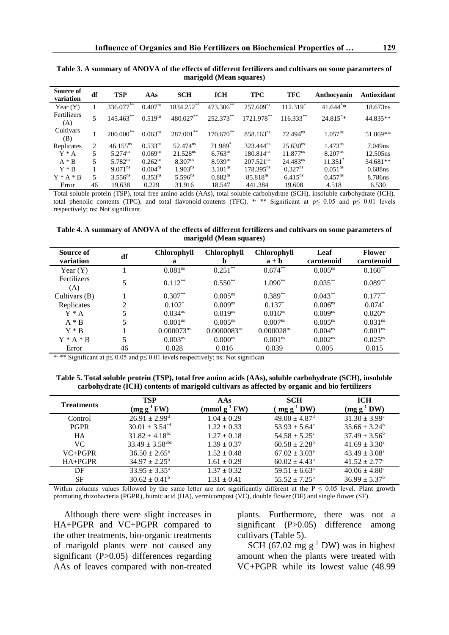| Source of<br>variation | df             | <b>TSP</b>              | AAs          | <b>SCH</b>          | <b>ICH</b>            | <b>TPC</b>              | <b>TFC</b>             | Anthocyanin           | Antioxidant          |
|------------------------|----------------|-------------------------|--------------|---------------------|-----------------------|-------------------------|------------------------|-----------------------|----------------------|
| Year $(Y)$             |                | $336.077***$            | $0.407^{ns}$ | 1834.252**          | $473.306^{**}$        | 257.609 <sup>ns</sup>   | 112.319                | $41.644^{*}$          | 18.673ns             |
| Fertilizers<br>(A)     | 5              | $145.463***$            | $0.519^{ns}$ | 480.027**           | 252.373**             | 1721.978**              | $116.333**$            | $24.815**$            | 44.835**             |
| Cultivars<br>(B)       |                | $200.000$ <sup>**</sup> | $0.063^{ns}$ | $287.001***$        | 170.670**             | $858.163^{ns}$          | $72.494$ <sup>ns</sup> | $1.057^{ns}$          | 51.869**             |
| Replicates             | $\mathfrak{D}$ | $46.155^{ns}$           | $0.533^{ns}$ | $52.474^{ns}$       | $71.989$ <sup>*</sup> | $323.444^{ns}$          | $25.630^{\text{ns}}$   | $1.473^{ns}$          | 7.049ns              |
| $Y^*A$                 | 5              | $5.274^{\text{ns}}$     | $0.069^{ns}$ | $21.528^{ns}$       | 6.763 <sup>ns</sup>   | 180.814 <sup>ns</sup>   | $11.877^{ns}$          | 8.207 <sup>ns</sup>   | 12.505 <sub>ns</sub> |
| $A * B$                | 5              | $5.782^{ns}$            | $0.262^{ns}$ | $8.307^{ns}$        | $8.939^{ns}$          | $207.521$ <sup>ns</sup> | $24.483^{ns}$          | $11.351$ <sup>*</sup> | 34.681**             |
| $Y * R$                |                | $9.071^{\text{ns}}$     | $0.004^{ns}$ | 1.903 <sup>ns</sup> | 3.101 <sup>ns</sup>   | $178.395^{ns}$          | $0.327^{ns}$           | 0.051 <sup>ns</sup>   | 0.688ns              |
| $Y^* A * B$            | 5              | $3.556^{ns}$            | $0.353^{ns}$ | $5.596^{ns}$        | $0.882^{ns}$          | 85.818 <sup>ns</sup>    | $6.415^{ns}$           | $0.457^{ns}$          | 8.786ns              |
| Error                  | 46             | 19.638                  | 0.229        | 31.916              | 18.547                | 441.384                 | 19.608                 | 4.518                 | 6.530                |

**Table 3. A summary of ANOVA of the effects of different fertilizers and cultivars on some parameters of marigold (Mean squares)**

Total soluble protein (TSP), total free amino acids (AAs), total soluble carbohydrate (SCH), insoluble carbohydrate (ICH), total phenolic contents (TPC), and total flavonoid contents (TFC). \* \*\* Significant at  $p \le 0.05$  and  $p \le 0.01$  levels respectively; ns: Not significant.

**Table 4. A summary of ANOVA of the effects of different fertilizers and cultivars on some parameters of marigold (Mean squares)**

| Source of<br>variation | df | <b>Chlorophyll</b><br>a | <b>Chlorophyll</b><br>b | <b>Chlorophyll</b><br>$a + b$ | Leaf<br>carotenoid  | <b>Flower</b><br>carotenoid |
|------------------------|----|-------------------------|-------------------------|-------------------------------|---------------------|-----------------------------|
| Year $(Y)$             |    | 0.081 <sup>ns</sup>     | $0.251***$              | $0.674$ <sup>**</sup>         | $0.005^{ns}$        | $0.160**$                   |
| Fertilizers<br>(A)     |    | $0.112***$              | $0.550**$               | $1.090**$                     | $0.035***$          | $0.089**$                   |
| Cultivars $(B)$        |    | $0.307**$               | $0.005^{ns}$            | $0.389**$                     | $0.043***$          | $0.177***$                  |
| Replicates             | 2  | $0.102*$                | $0.009^{ns}$            | $0.137*$                      | 0.006 <sup>ns</sup> | $0.074*$                    |
| $Y^*A$                 | 5  | 0.034 <sup>ns</sup>     | $0.019^{ns}$            | $0.016^{ns}$                  | 0.009 <sup>ns</sup> | 0.026 <sup>ns</sup>         |
| $A * B$                | 5  | 0.001 <sup>ns</sup>     | $0.005^{\text{ns}}$     | 0.007 <sup>ns</sup>           | $0.005^{\text{ns}}$ | 0.031 <sup>ns</sup>         |
| $Y * R$                |    | $0.000073^{\text{ns}}$  | 0.0000083 <sup>ns</sup> | 0.000028 <sup>ns</sup>        | 0.004 <sup>ns</sup> | 0.001 <sup>ns</sup>         |
| $Y^* A^* B$            | 5  | 0.003 <sup>ns</sup>     | $0.000^{ns}$            | 0.001 <sup>ns</sup>           | 0.002 <sup>ns</sup> | $0.025^{ns}$                |
| Error                  | 46 | 0.028                   | 0.016                   | 0.039                         | 0.005               | 0.015                       |

\* \*\* Significant at p≤ 0.05 and p≤ 0.01 levels respectively; ns: Not significan

**Table 5. Total soluble protein (TSP), total free amino acids (AAs), soluble carbohydrate (SCH), insoluble carbohydrate (ICH) contents of marigold cultivars as affected by organic and bio fertilizers** 

| <b>Treatments</b> | <b>TSP</b><br>$(mg g^{-1}FW)$   | AAs<br>$(mmol g-1 FW)$ | <b>SCH</b><br>$mgg^{-1}DW$    | <b>ICH</b><br>$(mg g^{-1}DW)$ |
|-------------------|---------------------------------|------------------------|-------------------------------|-------------------------------|
| Control           | $26.91 \pm 2.99^{\text{d}}$     | $1.04 \pm 0.29$        | $49.00 \pm 4.87$ <sup>d</sup> | $31.30 \pm 3.99^{\circ}$      |
| <b>PGPR</b>       | $30.01 \pm 3.54$ <sup>cd</sup>  | $1.22 \pm 0.33$        | $53.93 \pm 5.64^{\circ}$      | $35.66 \pm 3.24^b$            |
| <b>HA</b>         | $31.82 \pm 4.18$ <sup>bc</sup>  | $1.27 \pm 0.18$        | $54.58 \pm 5.25^{\circ}$      | $37.49 \pm 3.56^b$            |
| VC.               | $33.49 \pm 3.58$ <sup>abc</sup> | $1.39 \pm 0.37$        | $60.58 \pm 2.28^b$            | $41.69 \pm 3.30^{\circ}$      |
| $VC+PGPR$         | $36.50 \pm 2.65^{\circ}$        | $1.52 \pm 0.48$        | $67.02 \pm 3.03^{\circ}$      | $43.49 \pm 3.08^{\text{a}}$   |
| $HA+PGPR$         | $34.97 \pm 2.25^{\rm b}$        | $1.61 \pm 0.29$        | $60.02 \pm 4.43^b$            | $41.52 \pm 2.77$ <sup>a</sup> |
| DF                | $33.95 \pm 3.35^{\circ}$        | $1.37 \pm 0.32$        | $59.51 \pm 6.63^{\circ}$      | $40.06 \pm 4.80^a$            |
| SF                | $30.62 \pm 0.41^{\circ}$        | $1.31 \pm 0.41$        | $55.52 + 7.25^b$              | $36.99 \pm 5.37^{\rm b}$      |

Within columns values followed by the same letter are not significantly different at the  $P \le 0.05$  level. Plant growth promoting rhizobacteria (PGPR), humic acid (HA), vermicompost (VC), double flower (DF) and single flower (SF).

Although there were slight increases in HA+PGPR and VC+PGPR compared to the other treatments, bio-organic treatments of marigold plants were not caused any significant (P>0.05) differences regarding AAs of leaves compared with non-treated plants. Furthermore, there was not a significant (P>0.05) difference among cultivars (Table 5).

SCH (67.02 mg  $g^{-1}$  DW) was in highest amount when the plants were treated with VC+PGPR while its lowest value (48.99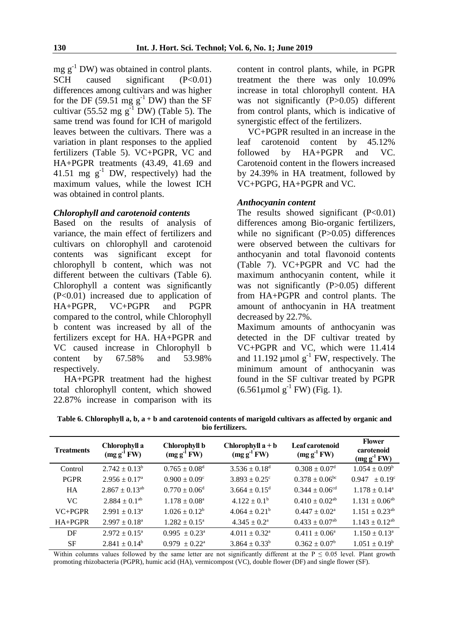mg  $g^{-1}$  DW) was obtained in control plants.<br>SCH caused significant (P<0.01) SCH caused significant differences among cultivars and was higher for the DF (59.51 mg  $g^{-1}$  DW) than the SF cultivar (55.52 mg  $g^{-1}$  DW) (Table 5). The same trend was found for ICH of marigold leaves between the cultivars. There was a variation in plant responses to the applied fertilizers (Table 5). VC+PGPR, VC and HA+PGPR treatments (43.49, 41.69 and 41.51 mg  $g^{-1}$  DW, respectively) had the maximum values, while the lowest ICH was obtained in control plants.

#### *Chlorophyll and carotenoid contents*

Based on the results of analysis of variance, the main effect of fertilizers and cultivars on chlorophyll and carotenoid contents was significant except for chlorophyll b content, which was not different between the cultivars (Table 6). Chlorophyll a content was significantly (P<0.01) increased due to application of HA+PGPR, VC+PGPR and PGPR compared to the control, while Chlorophyll b content was increased by all of the fertilizers except for HA. HA+PGPR and VC caused increase in Chlorophyll b content by 67.58% and 53.98% respectively.

HA+PGPR treatment had the highest total chlorophyll content, which showed 22.87% increase in comparison with its content in control plants, while, in PGPR treatment the there was only 10.09% increase in total chlorophyll content. HA was not significantly (P>0.05) different from control plants, which is indicative of synergistic effect of the fertilizers.

VC+PGPR resulted in an increase in the leaf carotenoid content by 45.12% followed by HA+PGPR and VC. Carotenoid content in the flowers increased by 24.39% in HA treatment, followed by VC+PGPG, HA+PGPR and VC.

#### *Anthocyanin content*

The results showed significant  $(P<0.01)$ differences among Bio-organic fertilizers, while no significant (P>0.05) differences were observed between the cultivars for anthocyanin and total flavonoid contents (Table 7). VC+PGPR and VC had the maximum anthocyanin content, while it was not significantly (P>0.05) different from HA+PGPR and control plants. The amount of anthocyanin in HA treatment decreased by 22.7%.

Maximum amounts of anthocyanin was detected in the DF cultivar treated by VC+PGPR and VC, which were 11.414 and 11.192  $\mu$ mol  $g^{-1}$  FW, respectively. The minimum amount of anthocyanin was found in the SF cultivar treated by PGPR  $(6.561 \mu \text{mol g}^{-1} \text{FW})$  (Fig. 1).

**Table 6. Chlorophyll a, b, a + b and carotenoid contents of marigold cultivars as affected by organic and bio fertilizers.** 

| <b>Treatments</b> | Chlorophyll a<br>$(mg g^{-1} F W)$ | Chlorophyll b<br>$(mg g^{-1} F W)$ | Chlorophyll $a + b$<br>$(mg g^{-1} F W)$ | Leaf carotenoid<br>$(mg g^{-1} F W)$ | <b>Flower</b><br>carotenoid<br>$(mg g^{-1} F W)$ |
|-------------------|------------------------------------|------------------------------------|------------------------------------------|--------------------------------------|--------------------------------------------------|
| Control           | $2.742 \pm 0.13^b$                 | $0.765 \pm 0.08$ <sup>d</sup>      | $3.536 \pm 0.18^d$                       | $0.308 \pm 0.07$ <sup>d</sup>        | $1.054 \pm 0.09^b$                               |
| <b>PGPR</b>       | $2.956 \pm 0.17^{\circ}$           | $0.900 \pm 0.09^{\circ}$           | $3.893 \pm 0.25$ <sup>c</sup>            | $0.378 \pm 0.06^{\rm bc}$            | $0.947 \pm 0.19^{\circ}$                         |
| <b>HA</b>         | $2.867 \pm 0.13^{ab}$              | $0.770 \pm 0.06$ <sup>d</sup>      | $3.664 \pm 0.15^{\circ}$                 | $0.344 \pm 0.06^{cd}$                | $1.178 \pm 0.14^{\circ}$                         |
| VC.               | $2.884 \pm 0.1^{ab}$               | $1.178 \pm 0.08^{\circ}$           | $4.122 \pm 0.1^b$                        | $0.410 \pm 0.02^{ab}$                | $1.131 \pm 0.06^{ab}$                            |
| $VC+PGPR$         | $2.991 \pm 0.13^a$                 | $1.026 \pm 0.12^b$                 | $4.064 \pm 0.21^b$                       | $0.447 \pm 0.02^{\text{a}}$          | $1.151 \pm 0.23$ <sup>ab</sup>                   |
| $HA+PGPR$         | $2.997 \pm 0.18^{\circ}$           | $1.282 \pm 0.15^{\circ}$           | $4.345 \pm 0.2^a$                        | $0.433 \pm 0.07$ <sup>ab</sup>       | $1.143 \pm 0.12^{ab}$                            |
| DF                | $2.972 \pm 0.15^{\circ}$           | $0.995 \pm 0.23^{\circ}$           | $4.011 \pm 0.32^{\circ}$                 | $0.411 \pm 0.06^a$                   | $1.150 \pm 0.13^{\circ}$                         |
| <b>SF</b>         | $2.841 \pm 0.14^b$                 | $0.979 \pm 0.22^{\text{a}}$        | $3.864 \pm 0.33^b$                       | $0.362 \pm 0.07^b$                   | $1.051 \pm 0.19^b$                               |

Within columns values followed by the same letter are not significantly different at the  $P \le 0.05$  level. Plant growth promoting rhizobacteria (PGPR), humic acid (HA), vermicompost (VC), double flower (DF) and single flower (SF).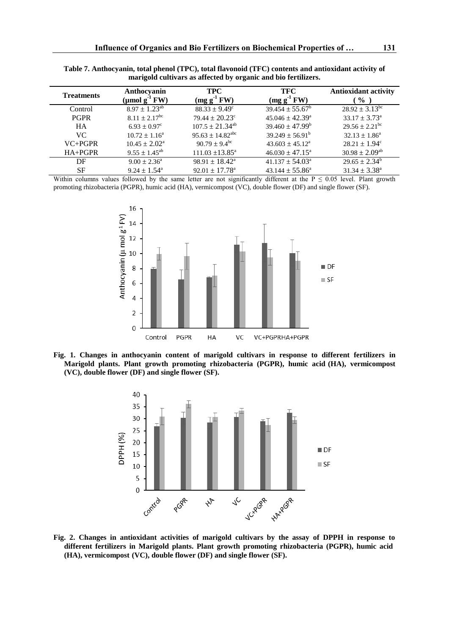| <b>Treatments</b> | Anthocyanin<br>$(\mu \text{mol g}^{-1} \text{FW})$ | <b>TPC</b><br>$(mg g-1 FW)$    | TFC<br>$(mg g-1 FW)$       | <b>Antioxidant activity</b><br>$\frac{6}{9}$ |
|-------------------|----------------------------------------------------|--------------------------------|----------------------------|----------------------------------------------|
| Control           | $8.97 \pm 1.23^{ab}$                               | $88.33 \pm 9.49^c$             | $39.454 \pm 55.67^b$       | $28.92 \pm 3.13^{\rm bc}$                    |
| <b>PGPR</b>       | $8.11 \pm 2.17$ <sup>bc</sup>                      | $79.44 \pm 20.23^{\circ}$      | $45.046 \pm 42.39^{\circ}$ | $33.17 \pm 3.73^{\circ}$                     |
| <b>HA</b>         | $6.93 \pm 0.97^{\circ}$                            | $107.5 \pm 21.34^{ab}$         | $39.460 \pm 47.99^b$       | $29.56 \pm 2.21$ <sup>bc</sup>               |
| VC.               | $10.72 \pm 1.16^{\circ}$                           | $95.63 \pm 14.82^{\text{abc}}$ | $39.249 \pm 56.91^b$       | $32.13 \pm 1.86^a$                           |
| $VC+PGPR$         | $10.45 \pm 2.02^{\text{a}}$                        | $90.79 \pm 9.4^{\rm bc}$       | $43.603 \pm 45.12^{\circ}$ | $28.21 \pm 1.94^{\circ}$                     |
| $HA+PGPR$         | $9.55 \pm 1.45^{\rm ab}$                           | $111.03 \pm 13.85^{\circ}$     | $46.030 \pm 47.15^{\circ}$ | $30.98 \pm 2.09^{ab}$                        |
| DF                | $9.00 \pm 2.36^{\circ}$                            | $98.91 \pm 18.42^{\text{a}}$   | $41.137 \pm 54.03^{\circ}$ | $29.65 \pm 2.34^b$                           |
| SF                | $9.24 \pm 1.54$ <sup>a</sup>                       | $92.01 \pm 17.78^{\text{a}}$   | $43.144 \pm 55.86^{\circ}$ | $31.34 \pm 3.38^a$                           |

**Table 7. Anthocyanin, total phenol (TPC), total flavonoid (TFC) contents and antioxidant activity of marigold cultivars as affected by organic and bio fertilizers.**

Within columns values followed by the same letter are not significantly different at the  $P \le 0.05$  level. Plant growth promoting rhizobacteria (PGPR), humic acid (HA), vermicompost (VC), double flower (DF) and single flower (SF).



**Fig. 1. Changes in anthocyanin content of marigold cultivars in response to different fertilizers in Marigold plants. Plant growth promoting rhizobacteria (PGPR), humic acid (HA), vermicompost (VC), double flower (DF) and single flower (SF).**



**Fig. 2. Changes in antioxidant activities of marigold cultivars by the assay of DPPH in response to different fertilizers in Marigold plants. Plant growth promoting rhizobacteria (PGPR), humic acid (HA), vermicompost (VC), double flower (DF) and single flower (SF).**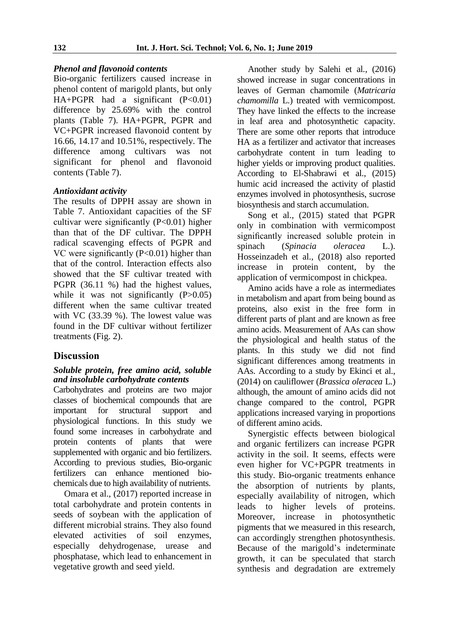#### *Phenol and flavonoid contents*

Bio-organic fertilizers caused increase in phenol content of marigold plants, but only HA+PGPR had a significant (P<0.01) difference by 25.69% with the control plants (Table 7). HA+PGPR, PGPR and VC+PGPR increased flavonoid content by 16.66, 14.17 and 10.51%, respectively. The difference among cultivars was not significant for phenol and flavonoid contents (Table 7).

#### *Antioxidant activity*

The results of DPPH assay are shown in Table 7. Antioxidant capacities of the SF cultivar were significantly  $(P<0.01)$  higher than that of the DF cultivar. The DPPH radical scavenging effects of PGPR and VC were significantly (P<0.01) higher than that of the control. Interaction effects also showed that the SF cultivar treated with PGPR (36.11 %) had the highest values, while it was not significantly  $(P>0.05)$ different when the same cultivar treated with VC (33.39 %). The lowest value was found in the DF cultivar without fertilizer treatments (Fig. 2).

## **Discussion**

#### *Soluble protein, free amino acid, soluble and insoluble carbohydrate contents*

Carbohydrates and proteins are two major classes of biochemical compounds that are important for structural support and physiological functions. In this study we found some increases in carbohydrate and protein contents of plants that were supplemented with organic and bio fertilizers. According to previous studies, Bio-organic fertilizers can enhance mentioned biochemicals due to high availability of nutrients.

Omara et al., (2017) reported increase in total carbohydrate and protein contents in seeds of soybean with the application of different microbial strains. They also found elevated activities of soil enzymes, especially dehydrogenase, urease and phosphatase, which lead to enhancement in vegetative growth and seed yield.

Another study by Salehi et al., (2016) showed increase in sugar concentrations in leaves of German chamomile (*Matricaria chamomilla* L.) treated with vermicompost. They have linked the effects to the increase in leaf area and photosynthetic capacity. There are some other reports that introduce HA as a fertilizer and activator that increases carbohydrate content in turn leading to higher yields or improving product qualities. According to El-Shabrawi et al., (2015) humic acid increased the activity of plastid enzymes involved in photosynthesis, sucrose biosynthesis and starch accumulation.

Song et al., (2015) stated that PGPR only in combination with vermicompost significantly increased soluble protein in<br>spinach (Spinacia oleracea L.). spinach (*Spinacia oleracea* L.). Hosseinzadeh et al., (2018) also reported increase in protein content, by the application of vermicompost in chickpea.

Amino acids have a role as intermediates in metabolism and apart from being bound as proteins, also exist in the free form in different parts of plant and are known as free amino acids. Measurement of AAs can show the physiological and health status of the plants. In this study we did not find significant differences among treatments in AAs. According to a study by Ekinci et al., (2014) on cauliflower (*Brassica oleracea* L.) although, the amount of amino acids did not change compared to the control, PGPR applications increased varying in proportions of different amino acids.

Synergistic effects between biological and organic fertilizers can increase PGPR activity in the soil. It seems, effects were even higher for VC+PGPR treatments in this study. Bio-organic treatments enhance the absorption of nutrients by plants, especially availability of nitrogen, which leads to higher levels of proteins. Moreover, increase in photosynthetic pigments that we measured in this research, can accordingly strengthen photosynthesis. Because of the marigold's indeterminate growth, it can be speculated that starch synthesis and degradation are extremely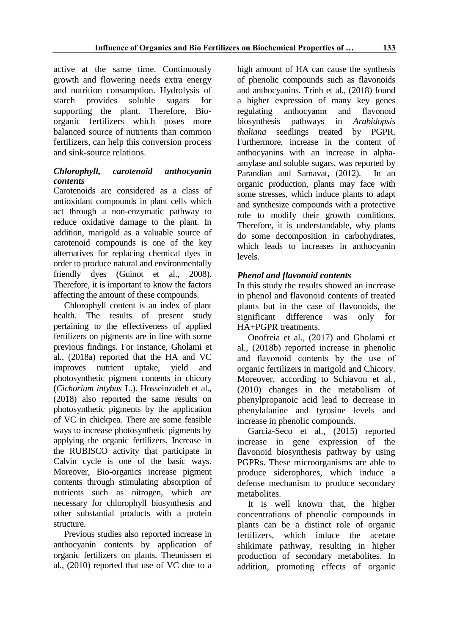active at the same time. Continuously growth and flowering needs extra energy and nutrition consumption. Hydrolysis of starch provides soluble sugars for supporting the plant. Therefore, Bioorganic fertilizers which poses more balanced source of nutrients than common fertilizers, can help this conversion process and sink-source relations.

## *Chlorophyll, carotenoid anthocyanin contents*

Carotenoids are considered as a class of antioxidant compounds in plant cells which act through a non-enzymatic pathway to reduce oxidative damage to the plant. In addition, marigold as a valuable source of carotenoid compounds is one of the key alternatives for replacing chemical dyes in order to produce natural and environmentally friendly dyes (Guinot et al., 2008). Therefore, it is important to know the factors affecting the amount of these compounds.

Chlorophyll content is an index of plant health. The results of present study pertaining to the effectiveness of applied fertilizers on pigments are in line with some previous findings. For instance, Gholami et al., (2018a) reported that the HA and VC improves nutrient uptake, yield and photosynthetic pigment contents in chicory (*Cichorium intybus* L.). Hosseinzadeh et al., (2018) also reported the same results on photosynthetic pigments by the application of VC in chickpea. There are some feasible ways to increase photosynthetic pigments by applying the organic fertilizers. Increase in the RUBISCO activity that participate in Calvin cycle is one of the basic ways. Moreover, Bio-organics increase pigment contents through stimulating absorption of nutrients such as nitrogen, which are necessary for chlorophyll biosynthesis and other substantial products with a protein structure.

Previous studies also reported increase in anthocyanin contents by application of organic fertilizers on plants. Theunissen et al., (2010) reported that use of VC due to a

high amount of HA can cause the synthesis of phenolic compounds such as flavonoids and anthocyanins. Trinh et al., (2018) found a higher expression of many key genes regulating anthocyanin and flavonoid biosynthesis pathways in *Arabidopsis thaliana* seedlings treated by PGPR. Furthermore, increase in the content of anthocyanins with an increase in alphaamylase and soluble sugars, was reported by Parandian and Samavat, (2012). In an organic production, plants may face with some stresses, which induce plants to adapt and synthesize compounds with a protective role to modify their growth conditions. Therefore, it is understandable, why plants do some decomposition in carbohydrates, which leads to increases in anthocyanin levels.

# *Phenol and flavonoid contents*

In this study the results showed an increase in phenol and flavonoid contents of treated plants but in the case of flavonoids, the significant difference was only for HA+PGPR treatments.

Onofreia et al., (2017) and Gholami et al., (2018b) reported increase in phenolic and flavonoid contents by the use of organic fertilizers in marigold and Chicory. Moreover, according to Schiavon et al., (2010) changes in the metabolism of phenylpropanoic acid lead to decrease in phenylalanine and tyrosine levels and increase in phenolic compounds.

Garcia-Seco et al., (2015) reported increase in gene expression of the flavonoid biosynthesis pathway by using PGPRs. These microorganisms are able to produce siderophores, which induce a defense mechanism to produce secondary metabolites.

It is well known that, the higher concentrations of phenolic compounds in plants can be a distinct role of organic fertilizers, which induce the acetate shikimate pathway, resulting in higher production of secondary metabolites. In addition, promoting effects of organic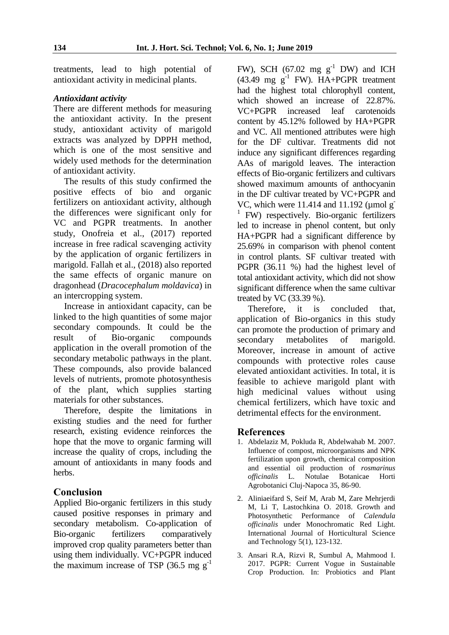treatments, lead to high potential of antioxidant activity in medicinal plants.

#### *Antioxidant activity*

There are different methods for measuring the antioxidant activity. In the present study, antioxidant activity of marigold extracts was analyzed by DPPH method, which is one of the most sensitive and widely used methods for the determination of antioxidant activity.

The results of this study confirmed the positive effects of bio and organic fertilizers on antioxidant activity, although the differences were significant only for VC and PGPR treatments. In another study, Onofreia et al., (2017) reported increase in free radical scavenging activity by the application of organic fertilizers in marigold. Fallah et al., (2018) also reported the same effects of organic manure on dragonhead (*Dracocephalum moldavica*) in an intercropping system.

Increase in antioxidant capacity, can be linked to the high quantities of some major secondary compounds. It could be the result of Bio-organic compounds application in the overall promotion of the secondary metabolic pathways in the plant. These compounds, also provide balanced levels of nutrients, promote photosynthesis of the plant, which supplies starting materials for other substances.

Therefore, despite the limitations in existing studies and the need for further research, existing evidence reinforces the hope that the move to organic farming will increase the quality of crops, including the amount of antioxidants in many foods and herbs.

## **Conclusion**

Applied Bio-organic fertilizers in this study caused positive responses in primary and secondary metabolism. Co-application of Bio-organic fertilizers comparatively improved crop quality parameters better than using them individually. VC+PGPR induced the maximum increase of TSP (36.5 mg  $g^{-1}$ )

FW), SCH (67.02 mg  $g^{-1}$  DW) and ICH  $(43.49 \text{ mg g}^{-1}$  FW). HA+PGPR treatment had the highest total chlorophyll content, which showed an increase of 22.87%. VC+PGPR increased leaf carotenoids content by 45.12% followed by HA+PGPR and VC. All mentioned attributes were high for the DF cultivar. Treatments did not induce any significant differences regarding AAs of marigold leaves. The interaction effects of Bio-organic fertilizers and cultivars showed maximum amounts of anthocyanin in the DF cultivar treated by VC+PGPR and VC, which were  $11.414$  and  $11.192$  (umol g <sup>1</sup> FW) respectively. Bio-organic fertilizers led to increase in phenol content, but only HA+PGPR had a significant difference by 25.69% in comparison with phenol content in control plants. SF cultivar treated with PGPR (36.11 %) had the highest level of total antioxidant activity, which did not show significant difference when the same cultivar treated by VC (33.39 %).

Therefore, it is concluded that, application of Bio-organics in this study can promote the production of primary and secondary metabolites of marigold. Moreover, increase in amount of active compounds with protective roles cause elevated antioxidant activities. In total, it is feasible to achieve marigold plant with high medicinal values without using chemical fertilizers, which have toxic and detrimental effects for the environment.

## **References**

- 1. Abdelaziz M, Pokluda R, Abdelwahab M. 2007. Influence of compost, microorganisms and NPK fertilization upon growth, chemical composition and essential oil production of *rosmarinus officinalis* L. Notulae Botanicae Horti Agrobotanici Cluj-Napoca 35, 86-90.
- 2. Aliniaeifard S, Seif M, Arab M, Zare Mehrjerdi M, Li T, Lastochkina O. 2018. Growth and Photosynthetic Performance of *Calendula officinalis* under Monochromatic Red Light. International Journal of Horticultural Science and Technology 5(1), 123-132.
- 3. Ansari R.A, Rizvi R, Sumbul A, Mahmood I. 2017. PGPR: Current Vogue in Sustainable Crop Production. In: Probiotics and Plant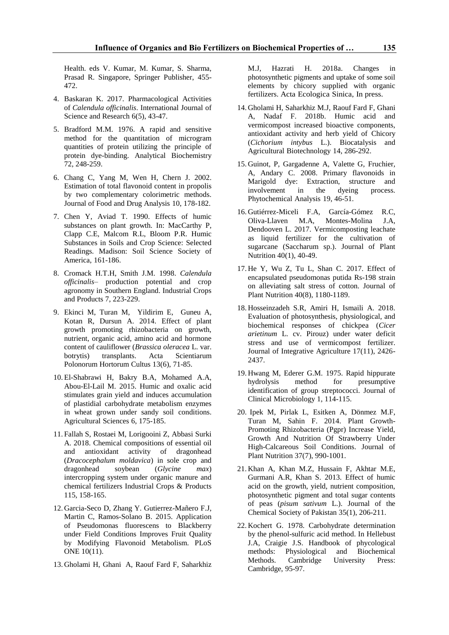Health. eds V. Kumar, M. Kumar, S. Sharma, Prasad R. Singapore, Springer Publisher, 455- 472.

- 4. Baskaran K. 2017. Pharmacological Activities of *Calendula officinalis*. International Journal of Science and Research 6(5), 43-47.
- 5. Bradford M.M. 1976. A rapid and sensitive method for the quantitation of microgram quantities of protein utilizing the principle of protein dye-binding. Analytical Biochemistry 72, 248-259.
- 6. Chang C, Yang M, Wen H, Chern J. 2002. Estimation of total flavonoid content in propolis by two complementary colorimetric methods. Journal of Food and Drug Analysis 10, 178-182.
- 7. Chen Y, Aviad T. 1990. Effects of humic substances on plant growth. In: MacCarthy P, Clapp C.E, Malcom R.L, Bloom P.R. Humic Substances in Soils and Crop Science: Selected Readings. Madison: Soil Science Society of America, 161-186.
- 8. Cromack H.T.H, Smith J.M. 1998. *Calendula officinalis*– production potential and crop agronomy in Southern England. Industrial Crops and Products 7, 223-229.
- 9. Ekinci M, Turan M, Yildirim E, Guneu A, Kotan R, Dursun A. 2014. Effect of plant growth promoting rhizobacteria on growth, nutrient, organic acid, amino acid and hormone content of cauliflower (*Brassica oleracea* L. var. botrytis) transplants. Acta Scientiarum Polonorum Hortorum Cultus 13(6), 71-85.
- 10. El-Shabrawi H, Bakry B.A, Mohamed A.A, Abou-El-Lail M. 2015. Humic and oxalic acid stimulates grain yield and induces accumulation of plastidial carbohydrate metabolism enzymes in wheat grown under sandy soil conditions. Agricultural Sciences 6, 175-185.
- 11. Fallah S, Rostaei M, Lorigooini Z, Abbasi Surki A. 2018. Chemical compositions of essential oil and antioxidant activity of dragonhead (*Dracocephalum moldavica*) in sole crop and dragonhead soybean (*Glycine max*) intercropping system under organic manure and chemical fertilizers Industrial Crops & Products 115, 158-165.
- 12. Garcia-Seco D, Zhang Y. Gutierrez-Mañero F.J, Martin C, Ramos-Solano B. 2015. Application of Pseudomonas fluorescens to Blackberry under Field Conditions Improves Fruit Quality by Modifying Flavonoid Metabolism. PLoS ONE 10(11).
- 13. Gholami H, Ghani A, Raouf Fard F, Saharkhiz

M.J, Hazrati H. 2018a. Changes in photosynthetic pigments and uptake of some soil elements by chicory supplied with organic fertilizers. Acta Ecologica Sinica, In press.

- 14. Gholami H, Saharkhiz M.J, Raouf Fard F, Ghani A, Nadaf F. 2018b. Humic acid and vermicompost increased bioactive components, antioxidant activity and herb yield of Chicory (*Cichorium intybus* L.). Biocatalysis and Agricultural Biotechnology 14, 286-292.
- 15. Guinot*,* P, Gargadenne A, Valette G, Fruchier*,*  A, Andary C. 2008. Primary flavonoids in Marigold dye: Extraction, structure and involvement in the dyeing process. Phytochemical Analysis 19, 46-51.
- 16. Gutiérrez*-*Miceli F.A*,* García*-*Gómez R.C, Oliva*-*Llaven M.A, Montes*-*Molina J.A, Dendooven L. 2017. Vermicomposting leachate as liquid fertilizer for the cultivation of sugarcane (Saccharum sp.). Journal of Plant Nutrition 40(1), 40-49.
- 17. He Y, Wu Z, Tu L, Shan C. 2017. Effect of encapsulated pseudomonas putida Rs-198 strain on alleviating salt stress of cotton. Journal of Plant Nutrition 40(8), 1180-1189.
- 18. Hosseinzadeh S.R, Amiri H, Ismaili A. 2018. Evaluation of photosynthesis, physiological, and biochemical responses of chickpea (*Cicer arietinum* L. cv. Pirouz) under water deficit stress and use of vermicompost fertilizer. Journal of Integrative Agriculture 17(11), 2426- 2437.
- 19. Hwang M, Ederer G.M. 1975. Rapid hippurate hydrolysis method for presumptive identification of group streptococci. Journal of Clinical Microbiology 1, 114-115.
- 20. Ipek M, Pirlak L, Esitken A, Dönmez M.F, Turan M, Sahin F. 2014. Plant Growth-Promoting Rhizobacteria (Pgpr) Increase Yield, Growth And Nutrition Of Strawberry Under High-Calcareous Soil Conditions. Journal of Plant Nutrition 37(7), 990-1001.
- 21. Khan A, Khan M.Z, Hussain F, Akhtar M.E, Gurmani A.R, Khan S. 2013. Effect of humic acid on the growth, yield, nutrient composition, photosynthetic pigment and total sugar contents of peas (*pisum sativum* L.). Journal of the Chemical Society of Pakistan 35(1), 206-211.
- 22. Kochert G. 1978. Carbohydrate determination by the phenol-sulfuric acid method. In Hellebust J.A, Craigie J.S. Handbook of phycological methods: Physiological and Biochemical Methods. Cambridge University Press: Cambridge, 95-97.